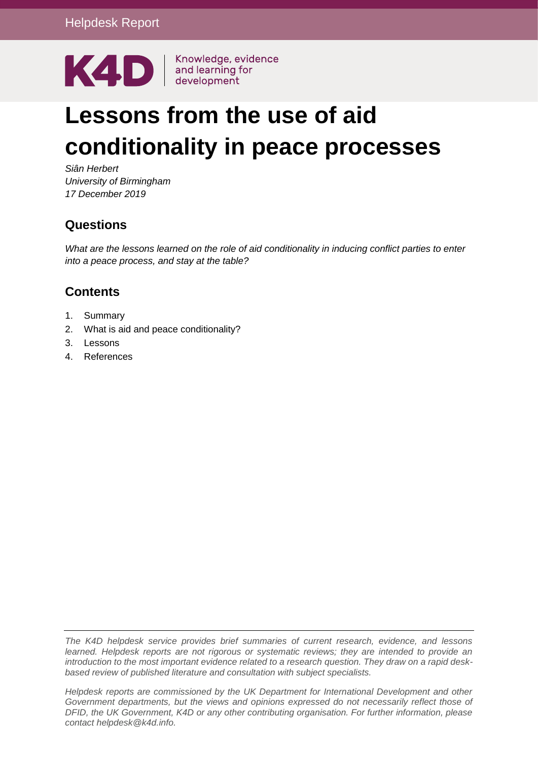

# **Lessons from the use of aid conditionality in peace processes**

*Siân Herbert University of Birmingham 17 December 2019*

## **Questions**

*What are the lessons learned on the role of aid conditionality in inducing conflict parties to enter into a peace process, and stay at the table?* 

## **Contents**

- 1. [Summary](#page-1-0)
- 2. [What is aid and peace conditionality?](#page-2-0)
- 3. [Lessons](#page-6-0)
- 4. [References](#page-13-0)

*The K4D helpdesk service provides brief summaries of current research, evidence, and lessons learned. Helpdesk reports are not rigorous or systematic reviews; they are intended to provide an introduction to the most important evidence related to a research question. They draw on a rapid deskbased review of published literature and consultation with subject specialists.* 

*Helpdesk reports are commissioned by the UK Department for International Development and other Government departments, but the views and opinions expressed do not necessarily reflect those of DFID, the UK Government, K4D or any other contributing organisation. For further information, please contact helpdesk@k4d.info.*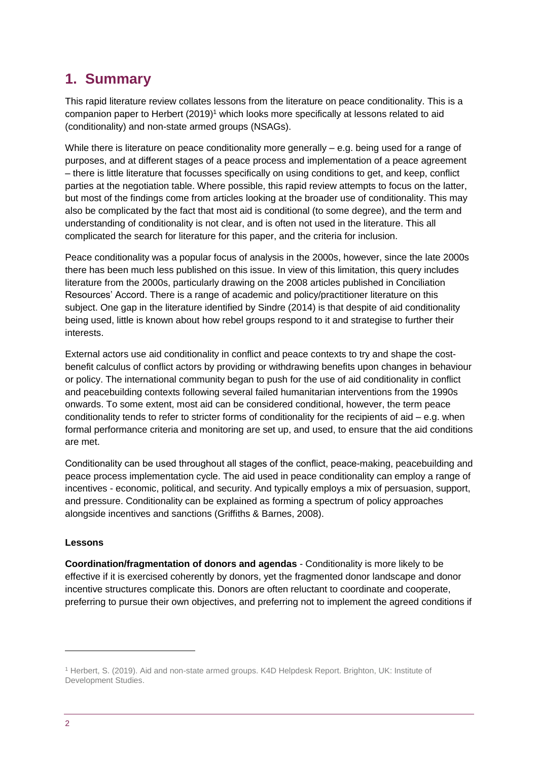# <span id="page-1-0"></span>**1. Summary**

This rapid literature review collates lessons from the literature on peace conditionality. This is a companion paper to Herbert (2019) <sup>1</sup> which looks more specifically at lessons related to aid (conditionality) and non-state armed groups (NSAGs).

While there is literature on peace conditionality more generally – e.g. being used for a range of purposes, and at different stages of a peace process and implementation of a peace agreement – there is little literature that focusses specifically on using conditions to get, and keep, conflict parties at the negotiation table. Where possible, this rapid review attempts to focus on the latter, but most of the findings come from articles looking at the broader use of conditionality. This may also be complicated by the fact that most aid is conditional (to some degree), and the term and understanding of conditionality is not clear, and is often not used in the literature. This all complicated the search for literature for this paper, and the criteria for inclusion.

Peace conditionality was a popular focus of analysis in the 2000s, however, since the late 2000s there has been much less published on this issue. In view of this limitation, this query includes literature from the 2000s, particularly drawing on the 2008 articles published in Conciliation Resources' Accord. There is a range of academic and policy/practitioner literature on this subject. One gap in the literature identified by Sindre (2014) is that despite of aid conditionality being used, little is known about how rebel groups respond to it and strategise to further their interests.

External actors use aid conditionality in conflict and peace contexts to try and shape the costbenefit calculus of conflict actors by providing or withdrawing benefits upon changes in behaviour or policy. The international community began to push for the use of aid conditionality in conflict and peacebuilding contexts following several failed humanitarian interventions from the 1990s onwards. To some extent, most aid can be considered conditional, however, the term peace conditionality tends to refer to stricter forms of conditionality for the recipients of aid – e.g. when formal performance criteria and monitoring are set up, and used, to ensure that the aid conditions are met.

Conditionality can be used throughout all stages of the conflict, peace-making, peacebuilding and peace process implementation cycle. The aid used in peace conditionality can employ a range of incentives - economic, political, and security. And typically employs a mix of persuasion, support, and pressure. Conditionality can be explained as forming a spectrum of policy approaches alongside incentives and sanctions (Griffiths & Barnes, 2008).

#### **Lessons**

**Coordination/fragmentation of donors and agendas** - Conditionality is more likely to be effective if it is exercised coherently by donors, yet the fragmented donor landscape and donor incentive structures complicate this. Donors are often reluctant to coordinate and cooperate, preferring to pursue their own objectives, and preferring not to implement the agreed conditions if

-

<sup>1</sup> Herbert, S. (2019). Aid and non-state armed groups. K4D Helpdesk Report. Brighton, UK: Institute of Development Studies.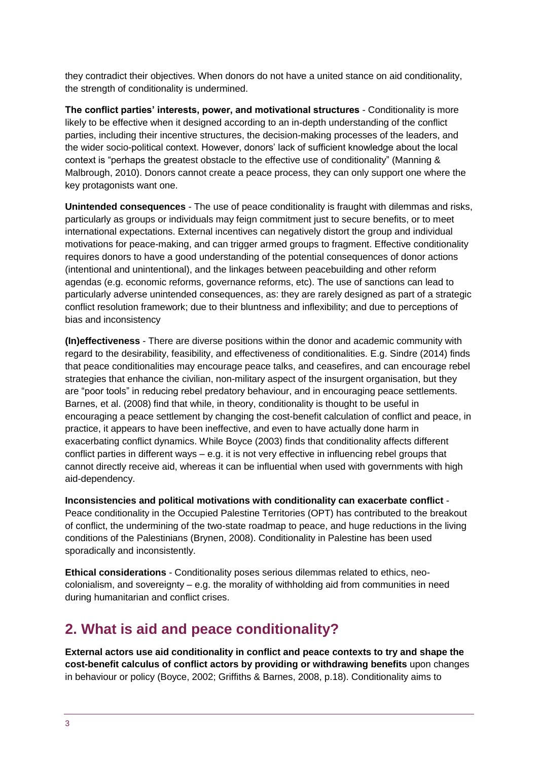they contradict their objectives. When donors do not have a united stance on aid conditionality, the strength of conditionality is undermined.

**The conflict parties' interests, power, and motivational structures** - Conditionality is more likely to be effective when it designed according to an in-depth understanding of the conflict parties, including their incentive structures, the decision-making processes of the leaders, and the wider socio-political context. However, donors' lack of sufficient knowledge about the local context is "perhaps the greatest obstacle to the effective use of conditionality" (Manning & Malbrough, 2010). Donors cannot create a peace process, they can only support one where the key protagonists want one.

**Unintended consequences** - The use of peace conditionality is fraught with dilemmas and risks, particularly as groups or individuals may feign commitment just to secure benefits, or to meet international expectations. External incentives can negatively distort the group and individual motivations for peace-making, and can trigger armed groups to fragment. Effective conditionality requires donors to have a good understanding of the potential consequences of donor actions (intentional and unintentional), and the linkages between peacebuilding and other reform agendas (e.g. economic reforms, governance reforms, etc). The use of sanctions can lead to particularly adverse unintended consequences, as: they are rarely designed as part of a strategic conflict resolution framework; due to their bluntness and inflexibility; and due to perceptions of bias and inconsistency

**(In)effectiveness** - There are diverse positions within the donor and academic community with regard to the desirability, feasibility, and effectiveness of conditionalities. E.g. Sindre (2014) finds that peace conditionalities may encourage peace talks, and ceasefires, and can encourage rebel strategies that enhance the civilian, non-military aspect of the insurgent organisation, but they are "poor tools" in reducing rebel predatory behaviour, and in encouraging peace settlements. Barnes, et al. (2008) find that while, in theory, conditionality is thought to be useful in encouraging a peace settlement by changing the cost-benefit calculation of conflict and peace, in practice, it appears to have been ineffective, and even to have actually done harm in exacerbating conflict dynamics. While Boyce (2003) finds that conditionality affects different conflict parties in different ways – e.g. it is not very effective in influencing rebel groups that cannot directly receive aid, whereas it can be influential when used with governments with high aid-dependency.

**Inconsistencies and political motivations with conditionality can exacerbate conflict** - Peace conditionality in the Occupied Palestine Territories (OPT) has contributed to the breakout of conflict, the undermining of the two-state roadmap to peace, and huge reductions in the living conditions of the Palestinians (Brynen, 2008). Conditionality in Palestine has been used sporadically and inconsistently.

**Ethical considerations** - Conditionality poses serious dilemmas related to ethics, neocolonialism, and sovereignty – e.g. the morality of withholding aid from communities in need during humanitarian and conflict crises.

## <span id="page-2-0"></span>**2. What is aid and peace conditionality?**

**External actors use aid conditionality in conflict and peace contexts to try and shape the cost-benefit calculus of conflict actors by providing or withdrawing benefits** upon changes in behaviour or policy (Boyce, 2002; Griffiths & Barnes, 2008, p.18). Conditionality aims to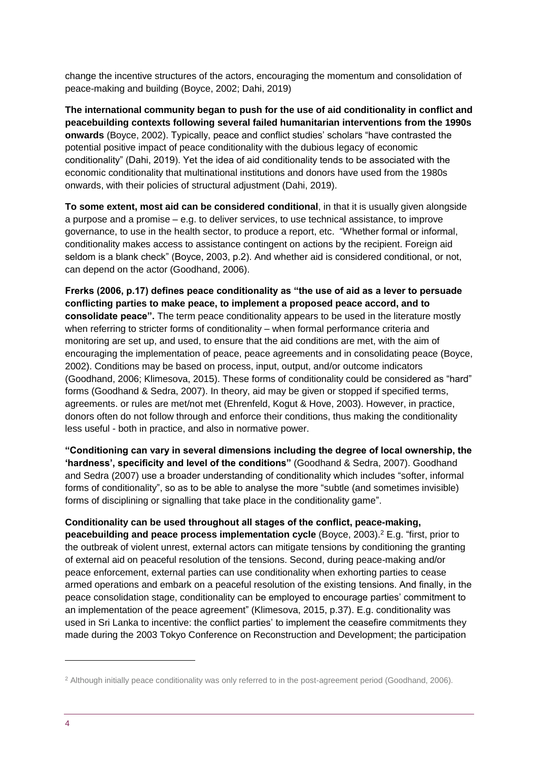change the incentive structures of the actors, encouraging the momentum and consolidation of peace-making and building (Boyce, 2002; Dahi, 2019)

**The international community began to push for the use of aid conditionality in conflict and peacebuilding contexts following several failed humanitarian interventions from the 1990s onwards** (Boyce, 2002). Typically, peace and conflict studies' scholars "have contrasted the potential positive impact of peace conditionality with the dubious legacy of economic conditionality" (Dahi, 2019). Yet the idea of aid conditionality tends to be associated with the economic conditionality that multinational institutions and donors have used from the 1980s onwards, with their policies of structural adjustment (Dahi, 2019).

**To some extent, most aid can be considered conditional**, in that it is usually given alongside a purpose and a promise – e.g. to deliver services, to use technical assistance, to improve governance, to use in the health sector, to produce a report, etc. "Whether formal or informal, conditionality makes access to assistance contingent on actions by the recipient. Foreign aid seldom is a blank check" (Boyce, 2003, p.2). And whether aid is considered conditional, or not, can depend on the actor (Goodhand, 2006).

**Frerks (2006, p.17) defines peace conditionality as "the use of aid as a lever to persuade conflicting parties to make peace, to implement a proposed peace accord, and to consolidate peace".** The term peace conditionality appears to be used in the literature mostly when referring to stricter forms of conditionality – when formal performance criteria and monitoring are set up, and used, to ensure that the aid conditions are met, with the aim of encouraging the implementation of peace, peace agreements and in consolidating peace (Boyce, 2002). Conditions may be based on process, input, output, and/or outcome indicators (Goodhand, 2006; Klimesova, 2015). These forms of conditionality could be considered as "hard" forms (Goodhand & Sedra, 2007). In theory, aid may be given or stopped if specified terms, agreements. or rules are met/not met (Ehrenfeld, Kogut & Hove, 2003). However, in practice, donors often do not follow through and enforce their conditions, thus making the conditionality less useful - both in practice, and also in normative power.

**"Conditioning can vary in several dimensions including the degree of local ownership, the 'hardness', specificity and level of the conditions"** (Goodhand & Sedra, 2007). Goodhand and Sedra (2007) use a broader understanding of conditionality which includes "softer, informal forms of conditionality", so as to be able to analyse the more "subtle (and sometimes invisible) forms of disciplining or signalling that take place in the conditionality game".

#### **Conditionality can be used throughout all stages of the conflict, peace-making,**

**peacebuilding and peace process implementation cycle** (Boyce, 2003). <sup>2</sup> E.g. "first, prior to the outbreak of violent unrest, external actors can mitigate tensions by conditioning the granting of external aid on peaceful resolution of the tensions. Second, during peace-making and/or peace enforcement, external parties can use conditionality when exhorting parties to cease armed operations and embark on a peaceful resolution of the existing tensions. And finally, in the peace consolidation stage, conditionality can be employed to encourage parties' commitment to an implementation of the peace agreement" (Klimesova, 2015, p.37). E.g. conditionality was used in Sri Lanka to incentive: the conflict parties' to implement the ceasefire commitments they made during the 2003 Tokyo Conference on Reconstruction and Development; the participation

1

<sup>&</sup>lt;sup>2</sup> Although initially peace conditionality was only referred to in the post-agreement period (Goodhand, 2006).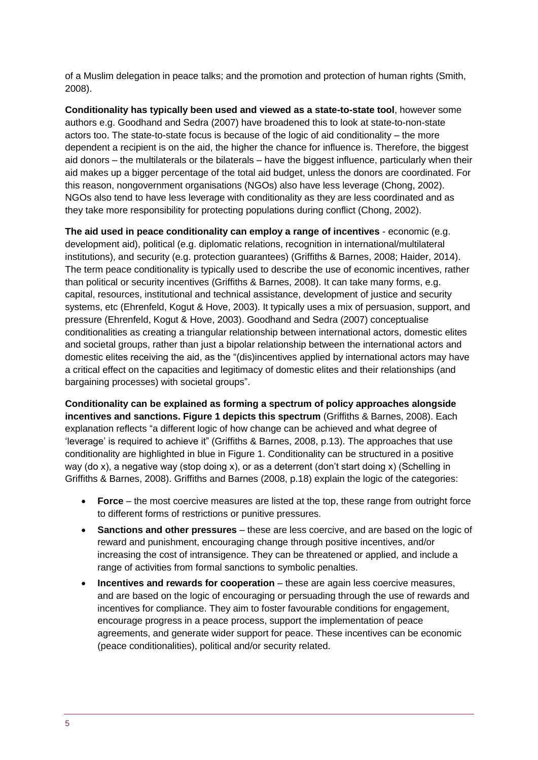of a Muslim delegation in peace talks; and the promotion and protection of human rights (Smith, 2008).

**Conditionality has typically been used and viewed as a state-to-state tool**, however some authors e.g. Goodhand and Sedra (2007) have broadened this to look at state-to-non-state actors too. The state-to-state focus is because of the logic of aid conditionality – the more dependent a recipient is on the aid, the higher the chance for influence is. Therefore, the biggest aid donors – the multilaterals or the bilaterals – have the biggest influence, particularly when their aid makes up a bigger percentage of the total aid budget, unless the donors are coordinated. For this reason, nongovernment organisations (NGOs) also have less leverage (Chong, 2002). NGOs also tend to have less leverage with conditionality as they are less coordinated and as they take more responsibility for protecting populations during conflict (Chong, 2002).

**The aid used in peace conditionality can employ a range of incentives** - economic (e.g. development aid), political (e.g. diplomatic relations, recognition in international/multilateral institutions), and security (e.g. protection guarantees) (Griffiths & Barnes, 2008; Haider, 2014). The term peace conditionality is typically used to describe the use of economic incentives, rather than political or security incentives (Griffiths & Barnes, 2008). It can take many forms, e.g. capital, resources, institutional and technical assistance, development of justice and security systems, etc (Ehrenfeld, Kogut & Hove, 2003). It typically uses a mix of persuasion, support, and pressure (Ehrenfeld, Kogut & Hove, 2003). Goodhand and Sedra (2007) conceptualise conditionalities as creating a triangular relationship between international actors, domestic elites and societal groups, rather than just a bipolar relationship between the international actors and domestic elites receiving the aid, as the "(dis)incentives applied by international actors may have a critical effect on the capacities and legitimacy of domestic elites and their relationships (and bargaining processes) with societal groups".

**Conditionality can be explained as forming a spectrum of policy approaches alongside incentives and sanctions. Figure 1 depicts this spectrum** (Griffiths & Barnes, 2008). Each explanation reflects "a different logic of how change can be achieved and what degree of 'leverage' is required to achieve it" (Griffiths & Barnes, 2008, p.13). The approaches that use conditionality are highlighted in blue in Figure 1. Conditionality can be structured in a positive way (do x), a negative way (stop doing x), or as a deterrent (don't start doing x) (Schelling in Griffiths & Barnes, 2008). Griffiths and Barnes (2008, p.18) explain the logic of the categories:

- **Force** the most coercive measures are listed at the top, these range from outright force to different forms of restrictions or punitive pressures.
- **Sanctions and other pressures**  these are less coercive, and are based on the logic of reward and punishment, encouraging change through positive incentives, and/or increasing the cost of intransigence. They can be threatened or applied, and include a range of activities from formal sanctions to symbolic penalties.
- **Incentives and rewards for cooperation** these are again less coercive measures, and are based on the logic of encouraging or persuading through the use of rewards and incentives for compliance. They aim to foster favourable conditions for engagement, encourage progress in a peace process, support the implementation of peace agreements, and generate wider support for peace. These incentives can be economic (peace conditionalities), political and/or security related.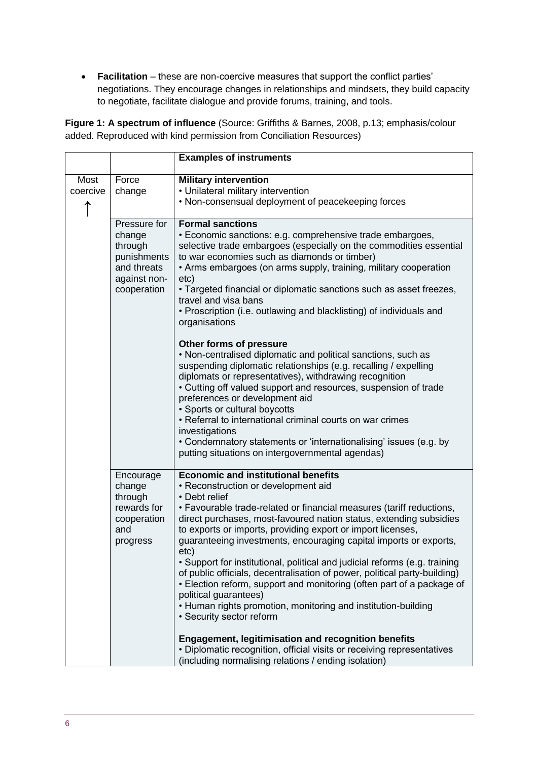**Facilitation** – these are non-coercive measures that support the conflict parties' negotiations. They encourage changes in relationships and mindsets, they build capacity to negotiate, facilitate dialogue and provide forums, training, and tools.

**Figure 1: A spectrum of influence** (Source: Griffiths & Barnes, 2008, p.13; emphasis/colour added. Reproduced with kind permission from Conciliation Resources)

|                  |                                                                                                | <b>Examples of instruments</b>                                                                                                                                                                                                                                                                                                                                                                                                                                                                                                                                                                                                                                                                                                                                                                                       |
|------------------|------------------------------------------------------------------------------------------------|----------------------------------------------------------------------------------------------------------------------------------------------------------------------------------------------------------------------------------------------------------------------------------------------------------------------------------------------------------------------------------------------------------------------------------------------------------------------------------------------------------------------------------------------------------------------------------------------------------------------------------------------------------------------------------------------------------------------------------------------------------------------------------------------------------------------|
| Most<br>coercive | Force<br>change                                                                                | <b>Military intervention</b><br>• Unilateral military intervention                                                                                                                                                                                                                                                                                                                                                                                                                                                                                                                                                                                                                                                                                                                                                   |
| ↑                |                                                                                                | • Non-consensual deployment of peacekeeping forces                                                                                                                                                                                                                                                                                                                                                                                                                                                                                                                                                                                                                                                                                                                                                                   |
|                  | Pressure for<br>change<br>through<br>punishments<br>and threats<br>against non-<br>cooperation | <b>Formal sanctions</b><br>• Economic sanctions: e.g. comprehensive trade embargoes,<br>selective trade embargoes (especially on the commodities essential<br>to war economies such as diamonds or timber)<br>• Arms embargoes (on arms supply, training, military cooperation<br>etc)<br>• Targeted financial or diplomatic sanctions such as asset freezes,<br>travel and visa bans<br>• Proscription (i.e. outlawing and blacklisting) of individuals and<br>organisations                                                                                                                                                                                                                                                                                                                                        |
|                  |                                                                                                | Other forms of pressure<br>• Non-centralised diplomatic and political sanctions, such as<br>suspending diplomatic relationships (e.g. recalling / expelling<br>diplomats or representatives), withdrawing recognition<br>• Cutting off valued support and resources, suspension of trade<br>preferences or development aid<br>• Sports or cultural boycotts<br>• Referral to international criminal courts on war crimes<br>investigations<br>• Condemnatory statements or 'internationalising' issues (e.g. by<br>putting situations on intergovernmental agendas)                                                                                                                                                                                                                                                  |
|                  | Encourage<br>change<br>through<br>rewards for<br>cooperation<br>and<br>progress                | <b>Economic and institutional benefits</b><br>• Reconstruction or development aid<br>• Debt relief<br>• Favourable trade-related or financial measures (tariff reductions,<br>direct purchases, most-favoured nation status, extending subsidies<br>to exports or imports, providing export or import licenses,<br>guaranteeing investments, encouraging capital imports or exports,<br>etc)<br>• Support for institutional, political and judicial reforms (e.g. training<br>of public officials, decentralisation of power, political party-building)<br>• Election reform, support and monitoring (often part of a package of<br>political guarantees)<br>• Human rights promotion, monitoring and institution-building<br>• Security sector reform<br><b>Engagement, legitimisation and recognition benefits</b> |
|                  |                                                                                                | • Diplomatic recognition, official visits or receiving representatives<br>(including normalising relations / ending isolation)                                                                                                                                                                                                                                                                                                                                                                                                                                                                                                                                                                                                                                                                                       |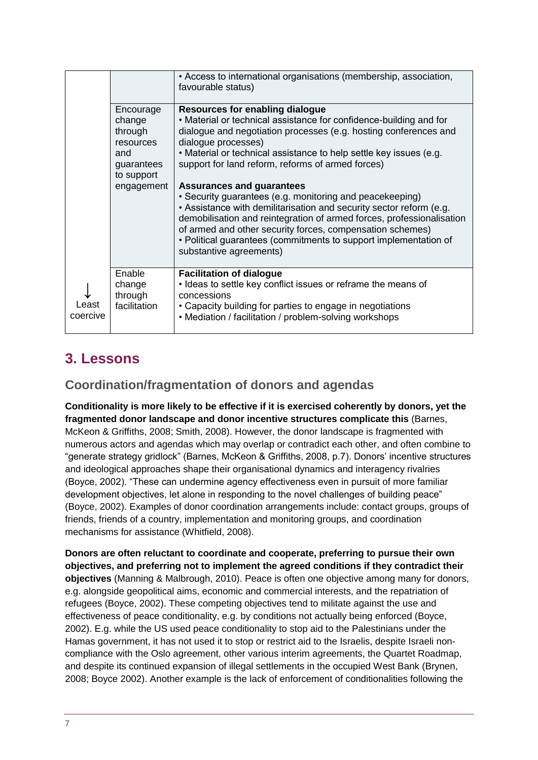|                   |                                                                                | • Access to international organisations (membership, association,<br>favourable status)                                                                                                                                                                                                                                                                                                                  |
|-------------------|--------------------------------------------------------------------------------|----------------------------------------------------------------------------------------------------------------------------------------------------------------------------------------------------------------------------------------------------------------------------------------------------------------------------------------------------------------------------------------------------------|
|                   | Encourage<br>change<br>through<br>resources<br>and<br>guarantees<br>to support | Resources for enabling dialogue<br>• Material or technical assistance for confidence-building and for<br>dialogue and negotiation processes (e.g. hosting conferences and<br>dialogue processes)<br>• Material or technical assistance to help settle key issues (e.g.<br>support for land reform, reforms of armed forces)                                                                              |
|                   | engagement                                                                     | <b>Assurances and guarantees</b><br>• Security guarantees (e.g. monitoring and peacekeeping)<br>• Assistance with demilitarisation and security sector reform (e.g.<br>demobilisation and reintegration of armed forces, professionalisation<br>of armed and other security forces, compensation schemes)<br>• Political guarantees (commitments to support implementation of<br>substantive agreements) |
| Least<br>coercive | Enable<br>change<br>through<br>facilitation                                    | <b>Facilitation of dialogue</b><br>• Ideas to settle key conflict issues or reframe the means of<br>concessions<br>• Capacity building for parties to engage in negotiations<br>• Mediation / facilitation / problem-solving workshops                                                                                                                                                                   |

## <span id="page-6-0"></span>**3. Lessons**

## **Coordination/fragmentation of donors and agendas**

**Conditionality is more likely to be effective if it is exercised coherently by donors, yet the fragmented donor landscape and donor incentive structures complicate this** (Barnes, McKeon & Griffiths, 2008; Smith, 2008). However, the donor landscape is fragmented with numerous actors and agendas which may overlap or contradict each other, and often combine to "generate strategy gridlock" (Barnes, McKeon & Griffiths, 2008, p.7). Donors' incentive structures and ideological approaches shape their organisational dynamics and interagency rivalries (Boyce, 2002). "These can undermine agency effectiveness even in pursuit of more familiar development objectives, let alone in responding to the novel challenges of building peace" (Boyce, 2002). Examples of donor coordination arrangements include: contact groups, groups of friends, friends of a country, implementation and monitoring groups, and coordination mechanisms for assistance (Whitfield, 2008).

**Donors are often reluctant to coordinate and cooperate, preferring to pursue their own objectives, and preferring not to implement the agreed conditions if they contradict their objectives** (Manning & Malbrough, 2010). Peace is often one objective among many for donors, e.g. alongside geopolitical aims, economic and commercial interests, and the repatriation of refugees (Boyce, 2002). These competing objectives tend to militate against the use and effectiveness of peace conditionality, e.g. by conditions not actually being enforced (Boyce, 2002). E.g. while the US used peace conditionality to stop aid to the Palestinians under the Hamas government, it has not used it to stop or restrict aid to the Israelis, despite Israeli noncompliance with the Oslo agreement, other various interim agreements, the Quartet Roadmap, and despite its continued expansion of illegal settlements in the occupied West Bank (Brynen, 2008; Boyce 2002). Another example is the lack of enforcement of conditionalities following the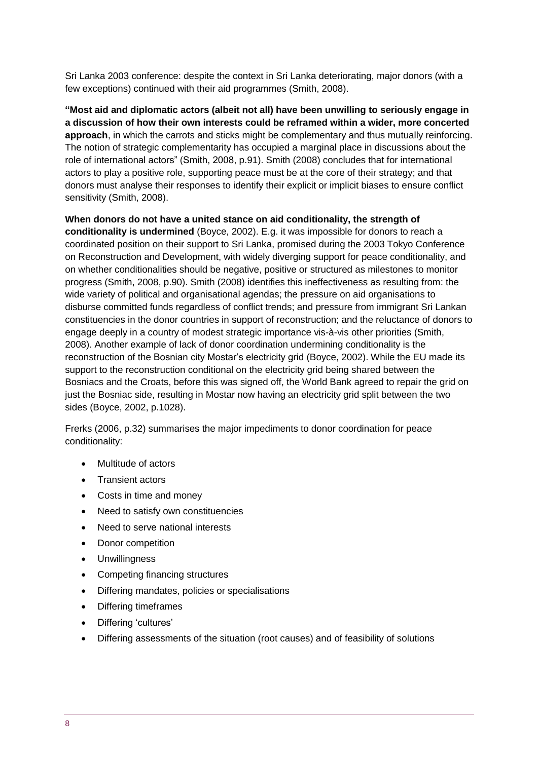Sri Lanka 2003 conference: despite the context in Sri Lanka deteriorating, major donors (with a few exceptions) continued with their aid programmes (Smith, 2008).

**"Most aid and diplomatic actors (albeit not all) have been unwilling to seriously engage in a discussion of how their own interests could be reframed within a wider, more concerted approach**, in which the carrots and sticks might be complementary and thus mutually reinforcing. The notion of strategic complementarity has occupied a marginal place in discussions about the role of international actors" (Smith, 2008, p.91). Smith (2008) concludes that for international actors to play a positive role, supporting peace must be at the core of their strategy; and that donors must analyse their responses to identify their explicit or implicit biases to ensure conflict sensitivity (Smith, 2008).

**When donors do not have a united stance on aid conditionality, the strength of conditionality is undermined** (Boyce, 2002). E.g. it was impossible for donors to reach a coordinated position on their support to Sri Lanka, promised during the 2003 Tokyo Conference on Reconstruction and Development, with widely diverging support for peace conditionality, and on whether conditionalities should be negative, positive or structured as milestones to monitor progress (Smith, 2008, p.90). Smith (2008) identifies this ineffectiveness as resulting from: the wide variety of political and organisational agendas; the pressure on aid organisations to disburse committed funds regardless of conflict trends; and pressure from immigrant Sri Lankan constituencies in the donor countries in support of reconstruction; and the reluctance of donors to engage deeply in a country of modest strategic importance vis-à-vis other priorities (Smith, 2008). Another example of lack of donor coordination undermining conditionality is the reconstruction of the Bosnian city Mostar's electricity grid (Boyce, 2002). While the EU made its support to the reconstruction conditional on the electricity grid being shared between the Bosniacs and the Croats, before this was signed off, the World Bank agreed to repair the grid on just the Bosniac side, resulting in Mostar now having an electricity grid split between the two sides (Boyce, 2002, p.1028).

Frerks (2006, p.32) summarises the major impediments to donor coordination for peace conditionality:

- Multitude of actors
- Transient actors
- Costs in time and money
- Need to satisfy own constituencies
- Need to serve national interests
- Donor competition
- Unwillingness
- Competing financing structures
- Differing mandates, policies or specialisations
- Differing timeframes
- Differing 'cultures'
- Differing assessments of the situation (root causes) and of feasibility of solutions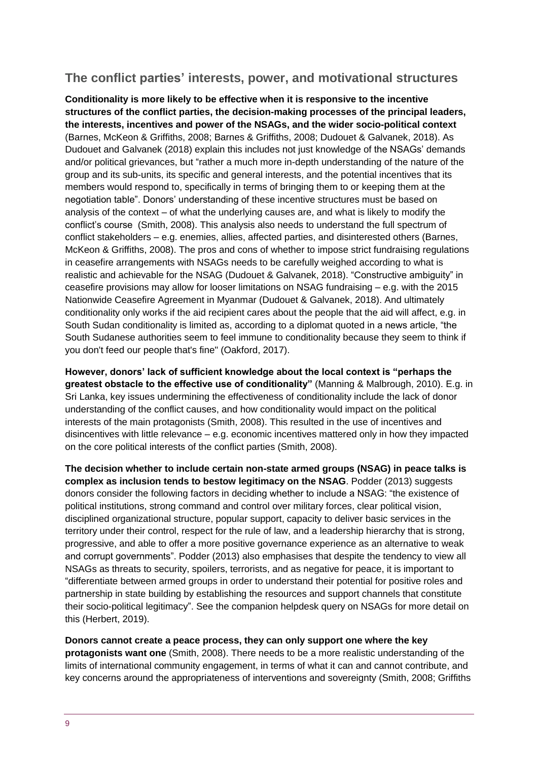#### **The conflict parties' interests, power, and motivational structures**

**Conditionality is more likely to be effective when it is responsive to the incentive structures of the conflict parties, the decision-making processes of the principal leaders, the interests, incentives and power of the NSAGs, and the wider socio-political context**  (Barnes, McKeon & Griffiths, 2008; Barnes & Griffiths, 2008; Dudouet & Galvanek, 2018). As Dudouet and Galvanek (2018) explain this includes not just knowledge of the NSAGs' demands and/or political grievances, but "rather a much more in-depth understanding of the nature of the group and its sub-units, its specific and general interests, and the potential incentives that its members would respond to, specifically in terms of bringing them to or keeping them at the negotiation table". Donors' understanding of these incentive structures must be based on analysis of the context – of what the underlying causes are, and what is likely to modify the conflict's course (Smith, 2008). This analysis also needs to understand the full spectrum of conflict stakeholders – e.g. enemies, allies, affected parties, and disinterested others (Barnes, McKeon & Griffiths, 2008). The pros and cons of whether to impose strict fundraising regulations in ceasefire arrangements with NSAGs needs to be carefully weighed according to what is realistic and achievable for the NSAG (Dudouet & Galvanek, 2018). "Constructive ambiguity" in ceasefire provisions may allow for looser limitations on NSAG fundraising – e.g. with the 2015 Nationwide Ceasefire Agreement in Myanmar (Dudouet & Galvanek, 2018). And ultimately conditionality only works if the aid recipient cares about the people that the aid will affect, e.g. in South Sudan conditionality is limited as, according to a diplomat quoted in a news article, "the South Sudanese authorities seem to feel immune to conditionality because they seem to think if you don't feed our people that's fine" (Oakford, 2017).

**However, donors' lack of sufficient knowledge about the local context is "perhaps the greatest obstacle to the effective use of conditionality"** (Manning & Malbrough, 2010). E.g. in Sri Lanka, key issues undermining the effectiveness of conditionality include the lack of donor understanding of the conflict causes, and how conditionality would impact on the political interests of the main protagonists (Smith, 2008). This resulted in the use of incentives and disincentives with little relevance – e.g. economic incentives mattered only in how they impacted on the core political interests of the conflict parties (Smith, 2008).

**The decision whether to include certain non-state armed groups (NSAG) in peace talks is complex as inclusion tends to bestow legitimacy on the NSAG**. Podder (2013) suggests donors consider the following factors in deciding whether to include a NSAG: "the existence of political institutions, strong command and control over military forces, clear political vision, disciplined organizational structure, popular support, capacity to deliver basic services in the territory under their control, respect for the rule of law, and a leadership hierarchy that is strong, progressive, and able to offer a more positive governance experience as an alternative to weak and corrupt governments". Podder (2013) also emphasises that despite the tendency to view all NSAGs as threats to security, spoilers, terrorists, and as negative for peace, it is important to "differentiate between armed groups in order to understand their potential for positive roles and partnership in state building by establishing the resources and support channels that constitute their socio-political legitimacy". See the companion helpdesk query on NSAGs for more detail on this (Herbert, 2019).

**Donors cannot create a peace process, they can only support one where the key protagonists want one** (Smith, 2008). There needs to be a more realistic understanding of the limits of international community engagement, in terms of what it can and cannot contribute, and key concerns around the appropriateness of interventions and sovereignty (Smith, 2008; Griffiths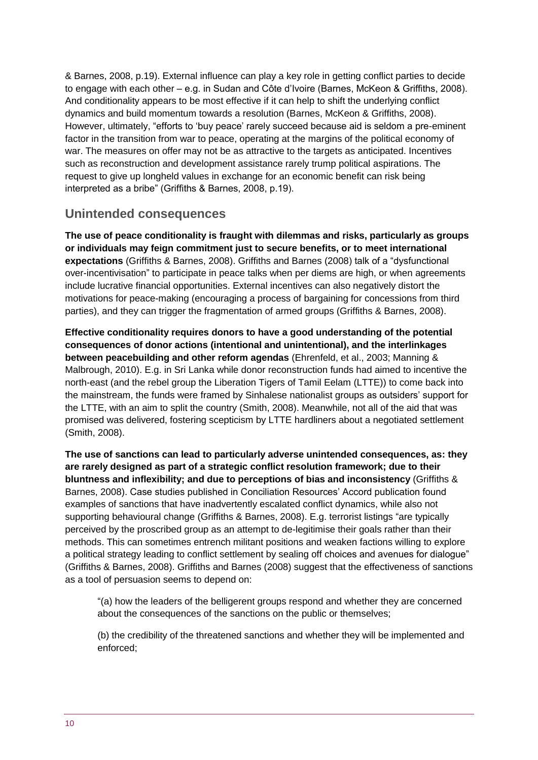& Barnes, 2008, p.19). External influence can play a key role in getting conflict parties to decide to engage with each other – e.g. in Sudan and Côte d'Ivoire (Barnes, McKeon & Griffiths, 2008). And conditionality appears to be most effective if it can help to shift the underlying conflict dynamics and build momentum towards a resolution (Barnes, McKeon & Griffiths, 2008). However, ultimately, "efforts to 'buy peace' rarely succeed because aid is seldom a pre-eminent factor in the transition from war to peace, operating at the margins of the political economy of war. The measures on offer may not be as attractive to the targets as anticipated. Incentives such as reconstruction and development assistance rarely trump political aspirations. The request to give up longheld values in exchange for an economic benefit can risk being interpreted as a bribe" (Griffiths & Barnes, 2008, p.19).

#### **Unintended consequences**

**The use of peace conditionality is fraught with dilemmas and risks, particularly as groups or individuals may feign commitment just to secure benefits, or to meet international expectations** (Griffiths & Barnes, 2008). Griffiths and Barnes (2008) talk of a "dysfunctional over-incentivisation" to participate in peace talks when per diems are high, or when agreements include lucrative financial opportunities. External incentives can also negatively distort the motivations for peace-making (encouraging a process of bargaining for concessions from third parties), and they can trigger the fragmentation of armed groups (Griffiths & Barnes, 2008).

**Effective conditionality requires donors to have a good understanding of the potential consequences of donor actions (intentional and unintentional), and the interlinkages between peacebuilding and other reform agendas** (Ehrenfeld, et al., 2003; Manning & Malbrough, 2010). E.g. in Sri Lanka while donor reconstruction funds had aimed to incentive the north-east (and the rebel group the Liberation Tigers of Tamil Eelam (LTTE)) to come back into the mainstream, the funds were framed by Sinhalese nationalist groups as outsiders' support for the LTTE, with an aim to split the country (Smith, 2008). Meanwhile, not all of the aid that was promised was delivered, fostering scepticism by LTTE hardliners about a negotiated settlement (Smith, 2008).

**The use of sanctions can lead to particularly adverse unintended consequences, as: they are rarely designed as part of a strategic conflict resolution framework; due to their bluntness and inflexibility; and due to perceptions of bias and inconsistency** (Griffiths & Barnes, 2008). Case studies published in Conciliation Resources' Accord publication found examples of sanctions that have inadvertently escalated conflict dynamics, while also not supporting behavioural change (Griffiths & Barnes, 2008). E.g. terrorist listings "are typically perceived by the proscribed group as an attempt to de-legitimise their goals rather than their methods. This can sometimes entrench militant positions and weaken factions willing to explore a political strategy leading to conflict settlement by sealing off choices and avenues for dialogue" (Griffiths & Barnes, 2008). Griffiths and Barnes (2008) suggest that the effectiveness of sanctions as a tool of persuasion seems to depend on:

"(a) how the leaders of the belligerent groups respond and whether they are concerned about the consequences of the sanctions on the public or themselves;

(b) the credibility of the threatened sanctions and whether they will be implemented and enforced;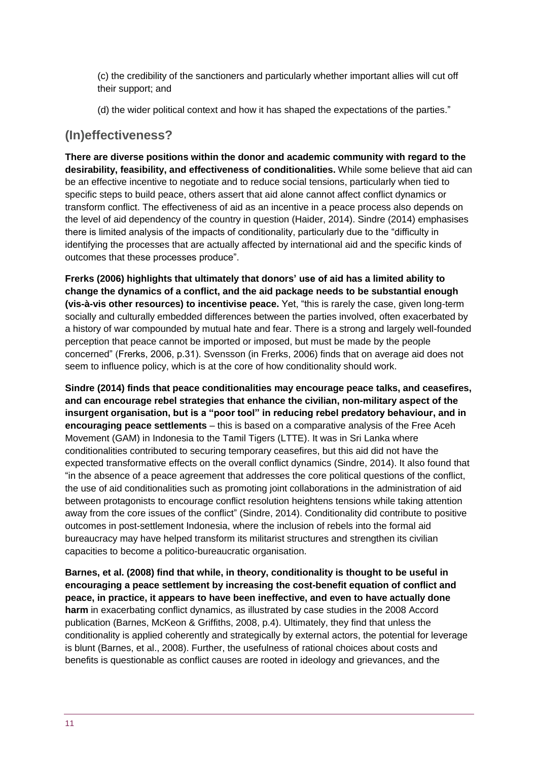(c) the credibility of the sanctioners and particularly whether important allies will cut off their support; and

(d) the wider political context and how it has shaped the expectations of the parties."

#### **(In)effectiveness?**

**There are diverse positions within the donor and academic community with regard to the desirability, feasibility, and effectiveness of conditionalities.** While some believe that aid can be an effective incentive to negotiate and to reduce social tensions, particularly when tied to specific steps to build peace, others assert that aid alone cannot affect conflict dynamics or transform conflict. The effectiveness of aid as an incentive in a peace process also depends on the level of aid dependency of the country in question (Haider, 2014). Sindre (2014) emphasises there is limited analysis of the impacts of conditionality, particularly due to the "difficulty in identifying the processes that are actually affected by international aid and the specific kinds of outcomes that these processes produce".

**Frerks (2006) highlights that ultimately that donors' use of aid has a limited ability to change the dynamics of a conflict, and the aid package needs to be substantial enough (vis-à-vis other resources) to incentivise peace.** Yet, "this is rarely the case, given long-term socially and culturally embedded differences between the parties involved, often exacerbated by a history of war compounded by mutual hate and fear. There is a strong and largely well-founded perception that peace cannot be imported or imposed, but must be made by the people concerned" (Frerks, 2006, p.31). Svensson (in Frerks, 2006) finds that on average aid does not seem to influence policy, which is at the core of how conditionality should work.

**Sindre (2014) finds that peace conditionalities may encourage peace talks, and ceasefires, and can encourage rebel strategies that enhance the civilian, non-military aspect of the insurgent organisation, but is a "poor tool" in reducing rebel predatory behaviour, and in encouraging peace settlements** – this is based on a comparative analysis of the Free Aceh Movement (GAM) in Indonesia to the Tamil Tigers (LTTE). It was in Sri Lanka where conditionalities contributed to securing temporary ceasefires, but this aid did not have the expected transformative effects on the overall conflict dynamics (Sindre, 2014). It also found that "in the absence of a peace agreement that addresses the core political questions of the conflict, the use of aid conditionalities such as promoting joint collaborations in the administration of aid between protagonists to encourage conflict resolution heightens tensions while taking attention away from the core issues of the conflict" (Sindre, 2014). Conditionality did contribute to positive outcomes in post-settlement Indonesia, where the inclusion of rebels into the formal aid bureaucracy may have helped transform its militarist structures and strengthen its civilian capacities to become a politico-bureaucratic organisation.

**Barnes, et al. (2008) find that while, in theory, conditionality is thought to be useful in encouraging a peace settlement by increasing the cost-benefit equation of conflict and peace, in practice, it appears to have been ineffective, and even to have actually done harm** in exacerbating conflict dynamics, as illustrated by case studies in the 2008 Accord publication (Barnes, McKeon & Griffiths, 2008, p.4). Ultimately, they find that unless the conditionality is applied coherently and strategically by external actors, the potential for leverage is blunt (Barnes, et al., 2008). Further, the usefulness of rational choices about costs and benefits is questionable as conflict causes are rooted in ideology and grievances, and the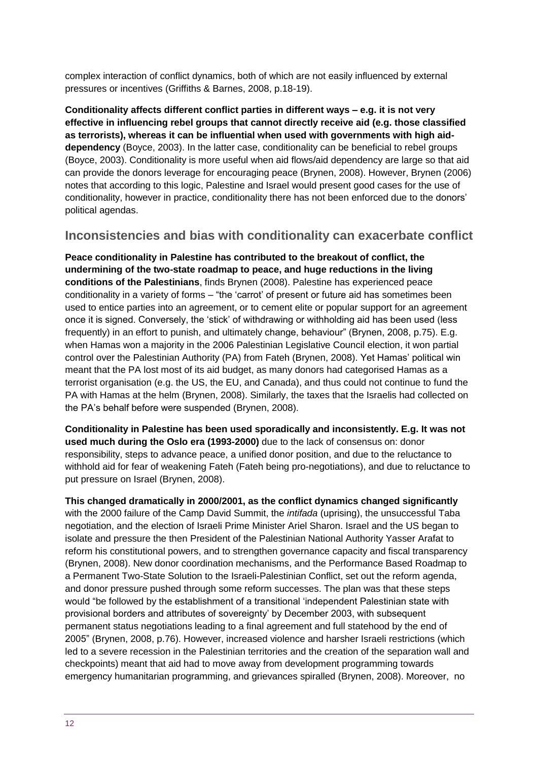complex interaction of conflict dynamics, both of which are not easily influenced by external pressures or incentives (Griffiths & Barnes, 2008, p.18-19).

**Conditionality affects different conflict parties in different ways – e.g. it is not very effective in influencing rebel groups that cannot directly receive aid (e.g. those classified as terrorists), whereas it can be influential when used with governments with high aiddependency** (Boyce, 2003). In the latter case, conditionality can be beneficial to rebel groups (Boyce, 2003). Conditionality is more useful when aid flows/aid dependency are large so that aid can provide the donors leverage for encouraging peace (Brynen, 2008). However, Brynen (2006) notes that according to this logic, Palestine and Israel would present good cases for the use of conditionality, however in practice, conditionality there has not been enforced due to the donors' political agendas.

#### **Inconsistencies and bias with conditionality can exacerbate conflict**

**Peace conditionality in Palestine has contributed to the breakout of conflict, the undermining of the two-state roadmap to peace, and huge reductions in the living conditions of the Palestinians**, finds Brynen (2008). Palestine has experienced peace conditionality in a variety of forms – "the 'carrot' of present or future aid has sometimes been used to entice parties into an agreement, or to cement elite or popular support for an agreement once it is signed. Conversely, the 'stick' of withdrawing or withholding aid has been used (less frequently) in an effort to punish, and ultimately change, behaviour" (Brynen, 2008, p.75). E.g. when Hamas won a majority in the 2006 Palestinian Legislative Council election, it won partial control over the Palestinian Authority (PA) from Fateh (Brynen, 2008). Yet Hamas' political win meant that the PA lost most of its aid budget, as many donors had categorised Hamas as a terrorist organisation (e.g. the US, the EU, and Canada), and thus could not continue to fund the PA with Hamas at the helm (Brynen, 2008). Similarly, the taxes that the Israelis had collected on the PA's behalf before were suspended (Brynen, 2008).

**Conditionality in Palestine has been used sporadically and inconsistently. E.g. It was not used much during the Oslo era (1993-2000)** due to the lack of consensus on: donor responsibility, steps to advance peace, a unified donor position, and due to the reluctance to withhold aid for fear of weakening Fateh (Fateh being pro-negotiations), and due to reluctance to put pressure on Israel (Brynen, 2008).

**This changed dramatically in 2000/2001, as the conflict dynamics changed significantly**  with the 2000 failure of the Camp David Summit, the *intifada* (uprising), the unsuccessful Taba negotiation, and the election of Israeli Prime Minister Ariel Sharon. Israel and the US began to isolate and pressure the then President of the Palestinian National Authority Yasser Arafat to reform his constitutional powers, and to strengthen governance capacity and fiscal transparency (Brynen, 2008). New donor coordination mechanisms, and the Performance Based Roadmap to a Permanent Two-State Solution to the Israeli-Palestinian Conflict, set out the reform agenda, and donor pressure pushed through some reform successes. The plan was that these steps would "be followed by the establishment of a transitional 'independent Palestinian state with provisional borders and attributes of sovereignty' by December 2003, with subsequent permanent status negotiations leading to a final agreement and full statehood by the end of 2005" (Brynen, 2008, p.76). However, increased violence and harsher Israeli restrictions (which led to a severe recession in the Palestinian territories and the creation of the separation wall and checkpoints) meant that aid had to move away from development programming towards emergency humanitarian programming, and grievances spiralled (Brynen, 2008). Moreover, no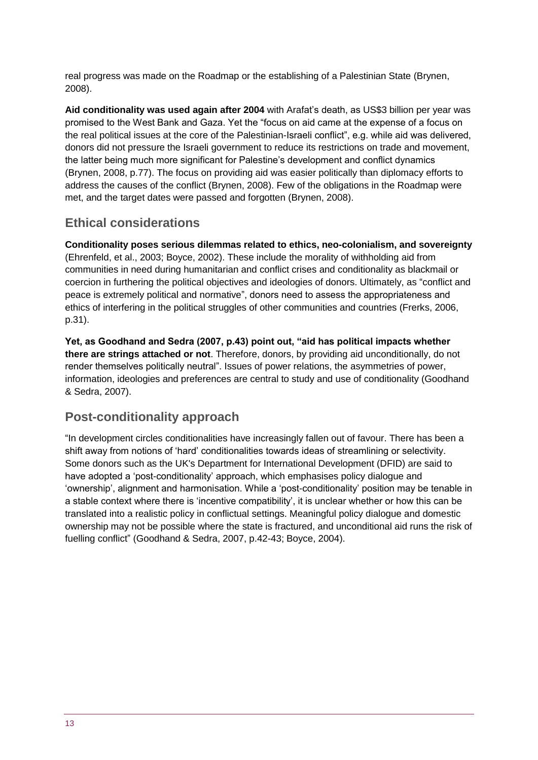real progress was made on the Roadmap or the establishing of a Palestinian State (Brynen, 2008).

**Aid conditionality was used again after 2004** with Arafat's death, as US\$3 billion per year was promised to the West Bank and Gaza. Yet the "focus on aid came at the expense of a focus on the real political issues at the core of the Palestinian-Israeli conflict", e.g. while aid was delivered, donors did not pressure the Israeli government to reduce its restrictions on trade and movement, the latter being much more significant for Palestine's development and conflict dynamics (Brynen, 2008, p.77). The focus on providing aid was easier politically than diplomacy efforts to address the causes of the conflict (Brynen, 2008). Few of the obligations in the Roadmap were met, and the target dates were passed and forgotten (Brynen, 2008).

#### **Ethical considerations**

**Conditionality poses serious dilemmas related to ethics, neo-colonialism, and sovereignty** (Ehrenfeld, et al., 2003; Boyce, 2002). These include the morality of withholding aid from communities in need during humanitarian and conflict crises and conditionality as blackmail or coercion in furthering the political objectives and ideologies of donors. Ultimately, as "conflict and peace is extremely political and normative", donors need to assess the appropriateness and ethics of interfering in the political struggles of other communities and countries (Frerks, 2006, p.31).

**Yet, as Goodhand and Sedra (2007, p.43) point out, "aid has political impacts whether there are strings attached or not**. Therefore, donors, by providing aid unconditionally, do not render themselves politically neutral". Issues of power relations, the asymmetries of power, information, ideologies and preferences are central to study and use of conditionality (Goodhand & Sedra, 2007).

## **Post-conditionality approach**

"In development circles conditionalities have increasingly fallen out of favour. There has been a shift away from notions of 'hard' conditionalities towards ideas of streamlining or selectivity. Some donors such as the UK's Department for International Development (DFID) are said to have adopted a 'post-conditionality' approach, which emphasises policy dialogue and 'ownership', alignment and harmonisation. While a 'post-conditionality' position may be tenable in a stable context where there is 'incentive compatibility', it is unclear whether or how this can be translated into a realistic policy in conflictual settings. Meaningful policy dialogue and domestic ownership may not be possible where the state is fractured, and unconditional aid runs the risk of fuelling conflict" (Goodhand & Sedra, 2007, p.42-43; Boyce, 2004).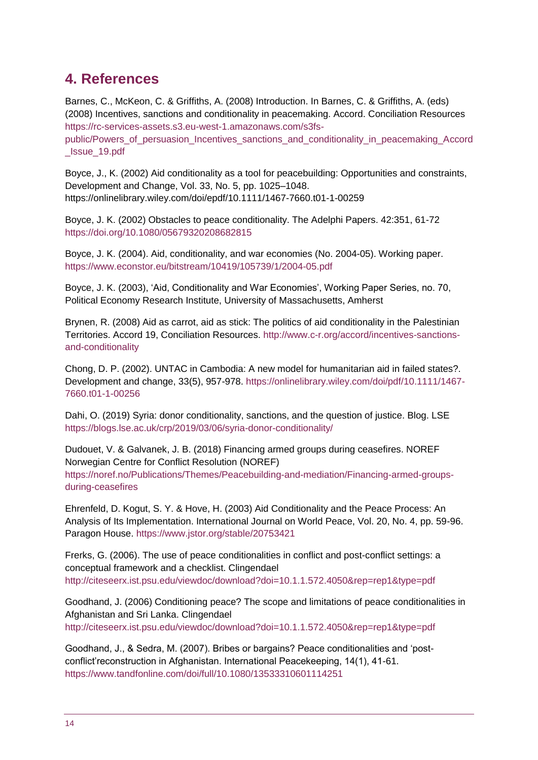## <span id="page-13-0"></span>**4. References**

Barnes, C., McKeon, C. & Griffiths, A. (2008) Introduction. In Barnes, C. & Griffiths, A. (eds) (2008) Incentives, sanctions and conditionality in peacemaking. Accord. Conciliation Resources [https://rc-services-assets.s3.eu-west-1.amazonaws.com/s3fs](https://rc-services-assets.s3.eu-west-1.amazonaws.com/s3fs-public/Powers_of_persuasion_Incentives_sanctions_and_conditionality_in_peacemaking_Accord_Issue_19.pdf)[public/Powers\\_of\\_persuasion\\_Incentives\\_sanctions\\_and\\_conditionality\\_in\\_peacemaking\\_Accord](https://rc-services-assets.s3.eu-west-1.amazonaws.com/s3fs-public/Powers_of_persuasion_Incentives_sanctions_and_conditionality_in_peacemaking_Accord_Issue_19.pdf) [\\_Issue\\_19.pdf](https://rc-services-assets.s3.eu-west-1.amazonaws.com/s3fs-public/Powers_of_persuasion_Incentives_sanctions_and_conditionality_in_peacemaking_Accord_Issue_19.pdf)

Boyce, J., K. (2002) Aid conditionality as a tool for peacebuilding: Opportunities and constraints, Development and Change, Vol. 33, No. 5, pp. 1025–1048. https://onlinelibrary.wiley.com/doi/epdf/10.1111/1467-7660.t01-1-00259

Boyce, J. K. (2002) Obstacles to peace conditionality. The Adelphi Papers. 42:351, 61-72 <https://doi.org/10.1080/05679320208682815>

Boyce, J. K. (2004). Aid, conditionality, and war economies (No. 2004-05). Working paper. <https://www.econstor.eu/bitstream/10419/105739/1/2004-05.pdf>

Boyce, J. K. (2003), 'Aid, Conditionality and War Economies', Working Paper Series, no. 70, Political Economy Research Institute, University of Massachusetts, Amherst

Brynen, R. (2008) Aid as carrot, aid as stick: The politics of aid conditionality in the Palestinian Territories. Accord 19, Conciliation Resources. [http://www.c-r.org/accord/incentives-sanctions](http://www.c-r.org/accord/incentives-sanctions-and-conditionality)[and-conditionality](http://www.c-r.org/accord/incentives-sanctions-and-conditionality)

Chong, D. P. (2002). UNTAC in Cambodia: A new model for humanitarian aid in failed states?. Development and change, 33(5), 957-978. [https://onlinelibrary.wiley.com/doi/pdf/10.1111/1467-](https://onlinelibrary.wiley.com/doi/pdf/10.1111/1467-7660.t01-1-00256) [7660.t01-1-00256](https://onlinelibrary.wiley.com/doi/pdf/10.1111/1467-7660.t01-1-00256)

Dahi, O. (2019) Syria: donor conditionality, sanctions, and the question of justice. Blog. LSE <https://blogs.lse.ac.uk/crp/2019/03/06/syria-donor-conditionality/>

Dudouet, V. & Galvanek, J. B. (2018) Financing armed groups during ceasefires. NOREF Norwegian Centre for Conflict Resolution (NOREF) [https://noref.no/Publications/Themes/Peacebuilding-and-mediation/Financing-armed-groups](https://noref.no/Publications/Themes/Peacebuilding-and-mediation/Financing-armed-groups-during-ceasefires)[during-ceasefires](https://noref.no/Publications/Themes/Peacebuilding-and-mediation/Financing-armed-groups-during-ceasefires)

Ehrenfeld, D. Kogut, S. Y. & Hove, H. (2003) Aid Conditionality and the Peace Process: An Analysis of Its Implementation. International Journal on World Peace, Vol. 20, No. 4, pp. 59-96. Paragon House.<https://www.jstor.org/stable/20753421>

Frerks, G. (2006). The use of peace conditionalities in conflict and post-conflict settings: a conceptual framework and a checklist. Clingendael <http://citeseerx.ist.psu.edu/viewdoc/download?doi=10.1.1.572.4050&rep=rep1&type=pdf>

Goodhand, J. (2006) Conditioning peace? The scope and limitations of peace conditionalities in Afghanistan and Sri Lanka. Clingendael <http://citeseerx.ist.psu.edu/viewdoc/download?doi=10.1.1.572.4050&rep=rep1&type=pdf>

Goodhand, J., & Sedra, M. (2007). Bribes or bargains? Peace conditionalities and 'postconflict'reconstruction in Afghanistan. International Peacekeeping, 14(1), 41-61. <https://www.tandfonline.com/doi/full/10.1080/13533310601114251>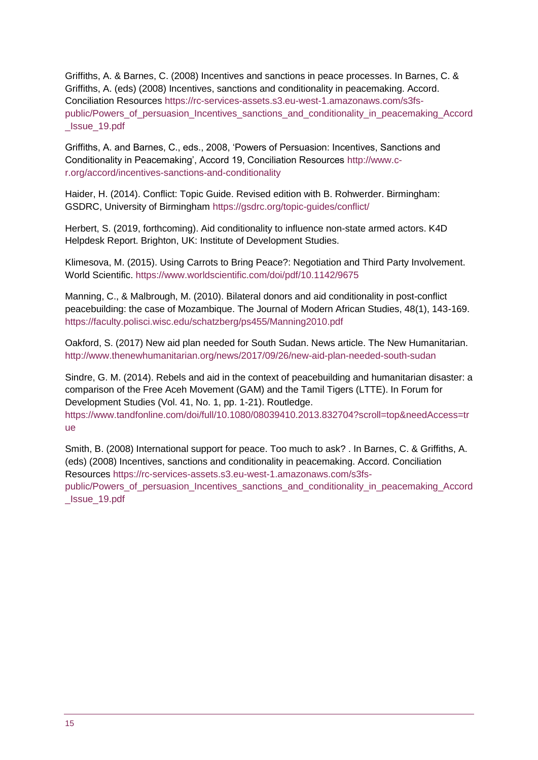Griffiths, A. & Barnes, C. (2008) Incentives and sanctions in peace processes. In Barnes, C. & Griffiths, A. (eds) (2008) Incentives, sanctions and conditionality in peacemaking. Accord. Conciliation Resources [https://rc-services-assets.s3.eu-west-1.amazonaws.com/s3fs](https://rc-services-assets.s3.eu-west-1.amazonaws.com/s3fs-public/Powers_of_persuasion_Incentives_sanctions_and_conditionality_in_peacemaking_Accord_Issue_19.pdf)[public/Powers\\_of\\_persuasion\\_Incentives\\_sanctions\\_and\\_conditionality\\_in\\_peacemaking\\_Accord](https://rc-services-assets.s3.eu-west-1.amazonaws.com/s3fs-public/Powers_of_persuasion_Incentives_sanctions_and_conditionality_in_peacemaking_Accord_Issue_19.pdf) [\\_Issue\\_19.pdf](https://rc-services-assets.s3.eu-west-1.amazonaws.com/s3fs-public/Powers_of_persuasion_Incentives_sanctions_and_conditionality_in_peacemaking_Accord_Issue_19.pdf)

Griffiths, A. and Barnes, C., eds., 2008, 'Powers of Persuasion: Incentives, Sanctions and Conditionality in Peacemaking', Accord 19, Conciliation Resources [http://www.c](http://www.c-r.org/accord/incentives-sanctions-and-conditionality)[r.org/accord/incentives-sanctions-and-conditionality](http://www.c-r.org/accord/incentives-sanctions-and-conditionality)

Haider, H. (2014). Conflict: Topic Guide. Revised edition with B. Rohwerder. Birmingham: GSDRC, University of Birmingham<https://gsdrc.org/topic-guides/conflict/>

Herbert, S. (2019, forthcoming). Aid conditionality to influence non-state armed actors. K4D Helpdesk Report. Brighton, UK: Institute of Development Studies.

Klimesova, M. (2015). Using Carrots to Bring Peace?: Negotiation and Third Party Involvement. World Scientific.<https://www.worldscientific.com/doi/pdf/10.1142/9675>

Manning, C., & Malbrough, M. (2010). Bilateral donors and aid conditionality in post-conflict peacebuilding: the case of Mozambique. The Journal of Modern African Studies, 48(1), 143-169. <https://faculty.polisci.wisc.edu/schatzberg/ps455/Manning2010.pdf>

Oakford, S. (2017) New aid plan needed for South Sudan. News article. The New Humanitarian. <http://www.thenewhumanitarian.org/news/2017/09/26/new-aid-plan-needed-south-sudan>

Sindre, G. M. (2014). Rebels and aid in the context of peacebuilding and humanitarian disaster: a comparison of the Free Aceh Movement (GAM) and the Tamil Tigers (LTTE). In Forum for Development Studies (Vol. 41, No. 1, pp. 1-21). Routledge.

[https://www.tandfonline.com/doi/full/10.1080/08039410.2013.832704?scroll=top&needAccess=tr](https://www.tandfonline.com/doi/full/10.1080/08039410.2013.832704?scroll=top&needAccess=true) [ue](https://www.tandfonline.com/doi/full/10.1080/08039410.2013.832704?scroll=top&needAccess=true)

Smith, B. (2008) International support for peace. Too much to ask? . In Barnes, C. & Griffiths, A. (eds) (2008) Incentives, sanctions and conditionality in peacemaking. Accord. Conciliation Resources [https://rc-services-assets.s3.eu-west-1.amazonaws.com/s3fs](https://rc-services-assets.s3.eu-west-1.amazonaws.com/s3fs-public/Powers_of_persuasion_Incentives_sanctions_and_conditionality_in_peacemaking_Accord_Issue_19.pdf)[public/Powers\\_of\\_persuasion\\_Incentives\\_sanctions\\_and\\_conditionality\\_in\\_peacemaking\\_Accord](https://rc-services-assets.s3.eu-west-1.amazonaws.com/s3fs-public/Powers_of_persuasion_Incentives_sanctions_and_conditionality_in_peacemaking_Accord_Issue_19.pdf) [\\_Issue\\_19.pdf](https://rc-services-assets.s3.eu-west-1.amazonaws.com/s3fs-public/Powers_of_persuasion_Incentives_sanctions_and_conditionality_in_peacemaking_Accord_Issue_19.pdf)